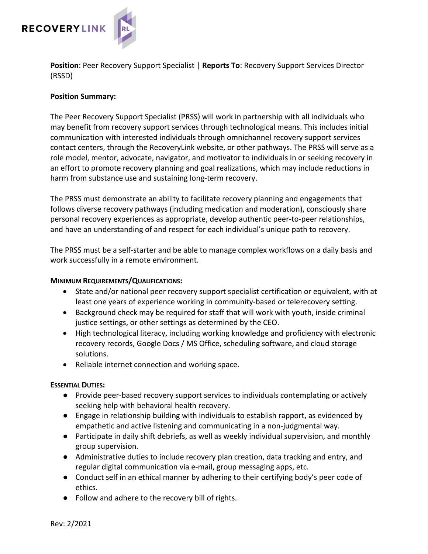

**Position**: Peer Recovery Support Specialist | **Reports To**: Recovery Support Services Director (RSSD)

### **Position Summary:**

The Peer Recovery Support Specialist (PRSS) will work in partnership with all individuals who may benefit from recovery support services through technological means. This includes initial communication with interested individuals through omnichannel recovery support services contact centers, through the RecoveryLink website, or other pathways. The PRSS will serve as a role model, mentor, advocate, navigator, and motivator to individuals in or seeking recovery in an effort to promote recovery planning and goal realizations, which may include reductions in harm from substance use and sustaining long-term recovery.

The PRSS must demonstrate an ability to facilitate recovery planning and engagements that follows diverse recovery pathways (including medication and moderation), consciously share personal recovery experiences as appropriate, develop authentic peer-to-peer relationships, and have an understanding of and respect for each individual's unique path to recovery.

The PRSS must be a self-starter and be able to manage complex workflows on a daily basis and work successfully in a remote environment.

#### **MINIMUM REQUIREMENTS/QUALIFICATIONS:**

- State and/or national peer recovery support specialist certification or equivalent, with at least one years of experience working in community-based or telerecovery setting.
- Background check may be required for staff that will work with youth, inside criminal justice settings, or other settings as determined by the CEO.
- High technological literacy, including working knowledge and proficiency with electronic recovery records, Google Docs / MS Office, scheduling software, and cloud storage solutions.
- Reliable internet connection and working space.

# **ESSENTIAL DUTIES:**

- Provide peer-based recovery support services to individuals contemplating or actively seeking help with behavioral health recovery.
- Engage in relationship building with individuals to establish rapport, as evidenced by empathetic and active listening and communicating in a non-judgmental way.
- Participate in daily shift debriefs, as well as weekly individual supervision, and monthly group supervision.
- Administrative duties to include recovery plan creation, data tracking and entry, and regular digital communication via e-mail, group messaging apps, etc.
- Conduct self in an ethical manner by adhering to their certifying body's peer code of ethics.
- Follow and adhere to the recovery bill of rights.